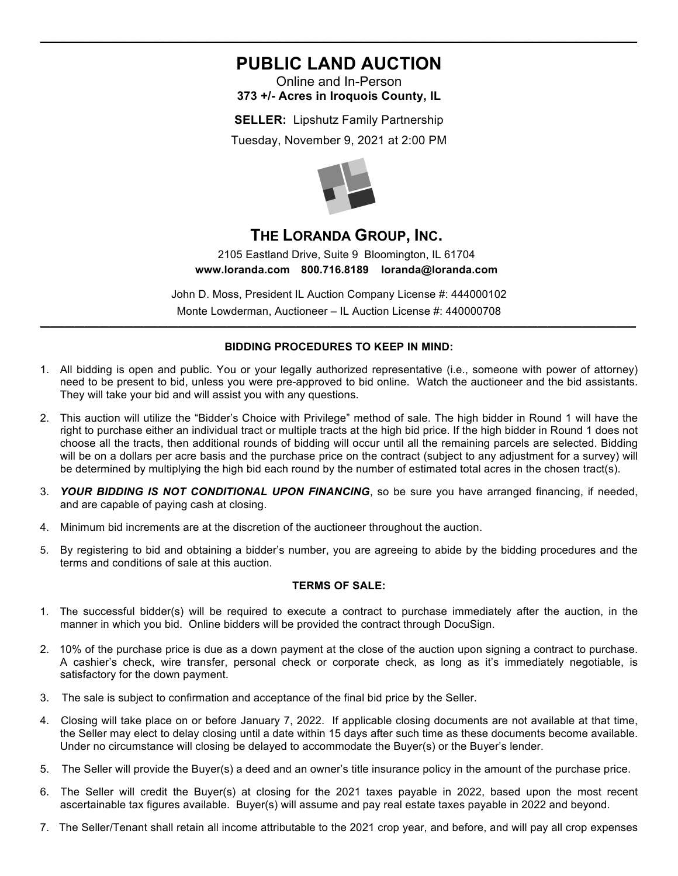# **PUBLIC LAND AUCTION**

 $\_$  , and the set of the set of the set of the set of the set of the set of the set of the set of the set of the set of the set of the set of the set of the set of the set of the set of the set of the set of the set of th

Online and In-Person **373 +/- Acres in Iroquois County, IL** 

**SELLER:** Lipshutz Family Partnership Tuesday, November 9, 2021 at 2:00 PM



## **THE LORANDA GROUP, INC.**

2105 Eastland Drive, Suite 9 Bloomington, IL 61704 **www.loranda.com 800.716.8189 loranda@loranda.com**

John D. Moss, President IL Auction Company License #: 444000102 Monte Lowderman, Auctioneer – IL Auction License #: 440000708 **\_\_\_\_\_\_\_\_\_\_\_\_\_\_\_\_\_\_\_\_\_\_\_\_\_\_\_\_\_\_\_\_\_\_\_\_\_\_\_\_\_\_\_\_\_\_\_\_\_\_\_\_\_\_\_\_\_\_\_\_\_\_\_\_\_\_\_\_\_\_\_\_\_\_\_\_\_\_\_\_\_\_\_\_\_\_\_\_\_\_\_\_\_\_\_\_\_\_\_\_\_\_\_\_\_\_\_\_\_\_\_\_\_\_\_\_\_\_\_\_\_**

#### **BIDDING PROCEDURES TO KEEP IN MIND:**

- 1. All bidding is open and public. You or your legally authorized representative (i.e., someone with power of attorney) need to be present to bid, unless you were pre-approved to bid online. Watch the auctioneer and the bid assistants. They will take your bid and will assist you with any questions.
- 2. This auction will utilize the "Bidder's Choice with Privilege" method of sale. The high bidder in Round 1 will have the right to purchase either an individual tract or multiple tracts at the high bid price. If the high bidder in Round 1 does not choose all the tracts, then additional rounds of bidding will occur until all the remaining parcels are selected. Bidding will be on a dollars per acre basis and the purchase price on the contract (subject to any adjustment for a survey) will be determined by multiplying the high bid each round by the number of estimated total acres in the chosen tract(s).
- 3. *YOUR BIDDING IS NOT CONDITIONAL UPON FINANCING*, so be sure you have arranged financing, if needed, and are capable of paying cash at closing.
- 4. Minimum bid increments are at the discretion of the auctioneer throughout the auction.
- 5. By registering to bid and obtaining a bidder's number, you are agreeing to abide by the bidding procedures and the terms and conditions of sale at this auction.

#### **TERMS OF SALE:**

- 1. The successful bidder(s) will be required to execute a contract to purchase immediately after the auction, in the manner in which you bid. Online bidders will be provided the contract through DocuSign.
- 2. 10% of the purchase price is due as a down payment at the close of the auction upon signing a contract to purchase. A cashier's check, wire transfer, personal check or corporate check, as long as it's immediately negotiable, is satisfactory for the down payment.
- 3. The sale is subject to confirmation and acceptance of the final bid price by the Seller.
- 4. Closing will take place on or before January 7, 2022. If applicable closing documents are not available at that time, the Seller may elect to delay closing until a date within 15 days after such time as these documents become available. Under no circumstance will closing be delayed to accommodate the Buyer(s) or the Buyer's lender.
- 5. The Seller will provide the Buyer(s) a deed and an owner's title insurance policy in the amount of the purchase price.
- 6. The Seller will credit the Buyer(s) at closing for the 2021 taxes payable in 2022, based upon the most recent ascertainable tax figures available. Buyer(s) will assume and pay real estate taxes payable in 2022 and beyond.
- 7. The Seller/Tenant shall retain all income attributable to the 2021 crop year, and before, and will pay all crop expenses